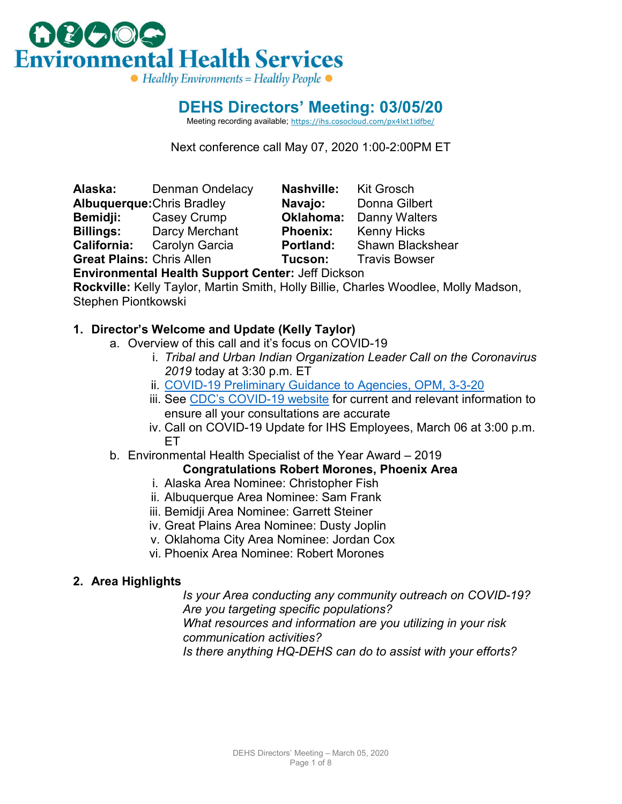

# **DEHS Directors' Meeting: 03/05/20**

Meeting recording available; [https://ihs.cosocloud.com/px4lxt1idfbe/](https://ihs.cosocloud.com/px4lxt1idfbe/?OWASP_CSRFTOKEN=1749b39c25bf667c274a8728d81ba831fd409517b4bb5178c51cb36be818e95d)

Next conference call May 07, 2020 1:00-2:00PM ET

**Alaska:** Denman Ondelacy **Nashville:** Kit Grosch **Albuquerque:**Chris Bradley **Navajo: Bemidji:** Casey Crump **Oklahoma:** Danny Walters **Billings:** Darcy Merchant **Phoenix:** Kenny Hicks **California:** Carolyn Garcia **Portland:** Shawn Blackshear

**Great Plains:** Chris Allen **Tucson:** Travis Bowser

**Environmental Health Support Center:** Jeff Dickson

**Rockville:** Kelly Taylor, Martin Smith, Holly Billie, Charles Woodlee, Molly Madson, Stephen Piontkowski

## **1. Director's Welcome and Update (Kelly Taylor)**

- a. Overview of this call and it's focus on COVID-19
	- i. *Tribal and Urban Indian Organization Leader Call on the Coronavirus 2019* today at 3:30 p.m. ET
	- ii. [COVID-19 Preliminary Guidance to Agencies, OPM, 3-3-20](https://www.chcoc.gov/content/preliminary-guidance-agencies-during-coronavirus-disease-2019-covid-19)
	- iii. See [CDC's COVID-19 website](https://www.cdc.gov/coronavirus/2019-ncov/index.html) for current and relevant information to ensure all your consultations are accurate
	- iv. Call on COVID-19 Update for IHS Employees, March 06 at 3:00 p.m. ET
- b. Environmental Health Specialist of the Year Award 2019

## **Congratulations Robert Morones, Phoenix Area**

- i. Alaska Area Nominee: Christopher Fish
- ii. Albuquerque Area Nominee: Sam Frank
- iii. Bemidji Area Nominee: Garrett Steiner
- iv. Great Plains Area Nominee: Dusty Joplin
- v. Oklahoma City Area Nominee: Jordan Cox
- vi. Phoenix Area Nominee: Robert Morones

#### **2. Area Highlights**

*Is your Area conducting any community outreach on COVID-19? Are you targeting specific populations? What resources and information are you utilizing in your risk communication activities? Is there anything HQ-DEHS can do to assist with your efforts?*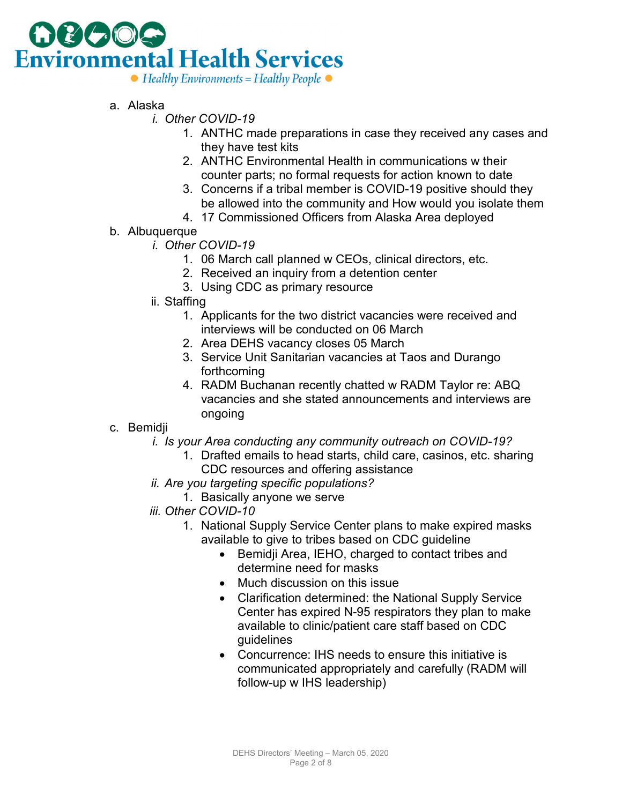

- a. Alaska
	- *i. Other COVID-19*
		- 1. ANTHC made preparations in case they received any cases and they have test kits
		- 2. ANTHC Environmental Health in communications w their counter parts; no formal requests for action known to date
		- 3. Concerns if a tribal member is COVID-19 positive should they be allowed into the community and How would you isolate them
		- 4. 17 Commissioned Officers from Alaska Area deployed
- b. Albuquerque
	- *i. Other COVID-19*
		- 1. 06 March call planned w CEOs, clinical directors, etc.
		- 2. Received an inquiry from a detention center
		- 3. Using CDC as primary resource
	- ii. Staffing
		- 1. Applicants for the two district vacancies were received and interviews will be conducted on 06 March
		- 2. Area DEHS vacancy closes 05 March
		- 3. Service Unit Sanitarian vacancies at Taos and Durango forthcoming
		- 4. RADM Buchanan recently chatted w RADM Taylor re: ABQ vacancies and she stated announcements and interviews are ongoing

#### c. Bemidji

- *i. Is your Area conducting any community outreach on COVID-19?*
	- 1. Drafted emails to head starts, child care, casinos, etc. sharing CDC resources and offering assistance
- *ii. Are you targeting specific populations?*
	- 1. Basically anyone we serve
- *iii. Other COVID-10*
	- 1. National Supply Service Center plans to make expired masks available to give to tribes based on CDC guideline
		- Bemidji Area, IEHO, charged to contact tribes and determine need for masks
		- Much discussion on this issue
		- Clarification determined: the National Supply Service Center has expired N-95 respirators they plan to make available to clinic/patient care staff based on CDC guidelines
		- Concurrence: IHS needs to ensure this initiative is communicated appropriately and carefully (RADM will follow-up w IHS leadership)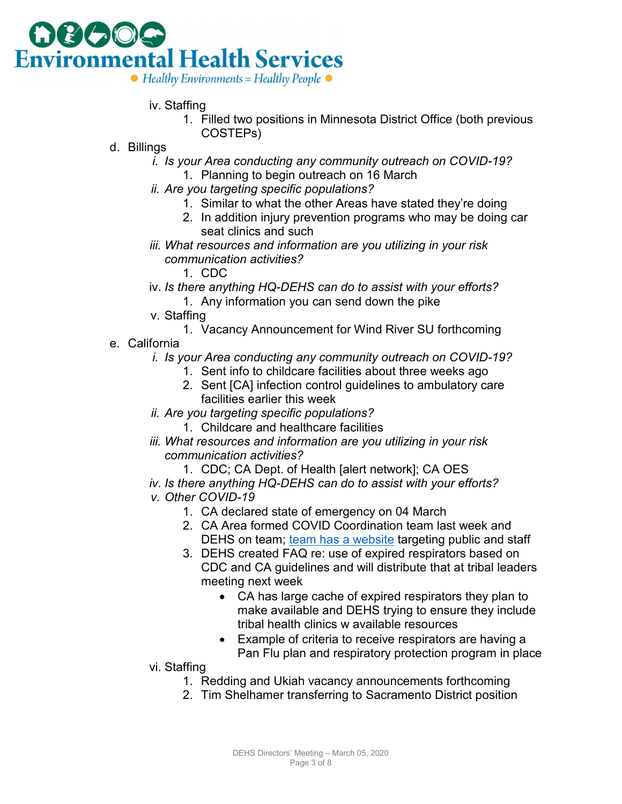

- iv. Staffing
	- 1. Filled two positions in Minnesota District Office (both previous COSTEPs)
- d. Billings
	- *i. Is your Area conducting any community outreach on COVID-19?*
		- 1. Planning to begin outreach on 16 March
	- *ii. Are you targeting specific populations?*
		- 1. Similar to what the other Areas have stated they're doing
		- 2. In addition injury prevention programs who may be doing car seat clinics and such
	- *iii. What resources and information are you utilizing in your risk communication activities?*
		- 1. CDC
	- iv. *Is there anything HQ-DEHS can do to assist with your efforts?* 1. Any information you can send down the pike
	- v. Staffing
		- 1. Vacancy Announcement for Wind River SU forthcoming
- e. California
	- *i. Is your Area conducting any community outreach on COVID-19?*
		- 1. Sent info to childcare facilities about three weeks ago
		- 2. Sent [CA] infection control guidelines to ambulatory care facilities earlier this week
	- *ii. Are you targeting specific populations?*
		- 1. Childcare and healthcare facilities
	- *iii. What resources and information are you utilizing in your risk communication activities?*
		- 1. CDC; CA Dept. of Health [alert network]; CA OES
	- *iv. Is there anything HQ-DEHS can do to assist with your efforts?*
	- *v. Other COVID-19*
		- 1. CA declared state of emergency on 04 March
		- 2. CA Area formed COVID Coordination team last week and DEHS on team; [team has a website](https://www.ihs.gov/california/index.cfm/for-health-care-professionals/coronavirus-2019-covid-19/) targeting public and staff
		- 3. DEHS created FAQ re: use of expired respirators based on CDC and CA guidelines and will distribute that at tribal leaders meeting next week
			- CA has large cache of expired respirators they plan to make available and DEHS trying to ensure they include tribal health clinics w available resources
			- Example of criteria to receive respirators are having a Pan Flu plan and respiratory protection program in place
	- vi. Staffing
		- 1. Redding and Ukiah vacancy announcements forthcoming
		- 2. Tim Shelhamer transferring to Sacramento District position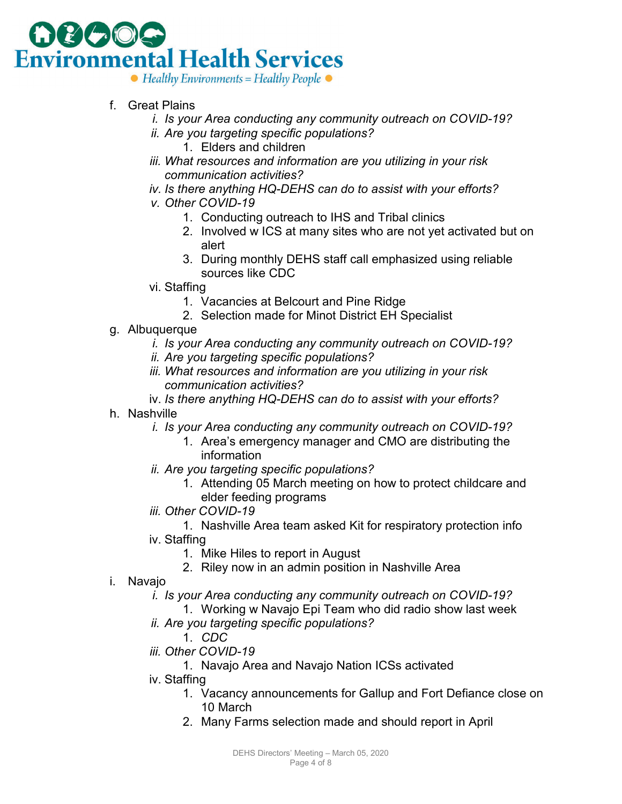

 $\bullet$  Healthy Environments = Healthy People  $\bullet$ 

- f. Great Plains
	- *i. Is your Area conducting any community outreach on COVID-19?*
	- *ii. Are you targeting specific populations?* 1. Elders and children
	- *iii. What resources and information are you utilizing in your risk communication activities?*
	- *iv. Is there anything HQ-DEHS can do to assist with your efforts?*
	- *v. Other COVID-19*
		- 1. Conducting outreach to IHS and Tribal clinics
		- 2. Involved w ICS at many sites who are not yet activated but on alert
		- 3. During monthly DEHS staff call emphasized using reliable sources like CDC
	- vi. Staffing
		- 1. Vacancies at Belcourt and Pine Ridge
		- 2. Selection made for Minot District EH Specialist
- g. Albuquerque
	- *i. Is your Area conducting any community outreach on COVID-19?*
	- *ii. Are you targeting specific populations?*
	- *iii. What resources and information are you utilizing in your risk communication activities?*
	- iv. *Is there anything HQ-DEHS can do to assist with your efforts?*
- h. Nashville
	- *i. Is your Area conducting any community outreach on COVID-19?*
		- 1. Area's emergency manager and CMO are distributing the information
	- *ii. Are you targeting specific populations?*
		- 1. Attending 05 March meeting on how to protect childcare and elder feeding programs
	- *iii. Other COVID-19*
	- 1. Nashville Area team asked Kit for respiratory protection info iv. Staffing
		- 1. Mike Hiles to report in August
		- 2. Riley now in an admin position in Nashville Area
- i. Navajo
	- *i. Is your Area conducting any community outreach on COVID-19?*
		- 1. Working w Navajo Epi Team who did radio show last week
	- *ii. Are you targeting specific populations?*

1. *CDC*

- *iii. Other COVID-19*
	- 1. Navajo Area and Navajo Nation ICSs activated
- iv. Staffing
	- 1. Vacancy announcements for Gallup and Fort Defiance close on 10 March
	- 2. Many Farms selection made and should report in April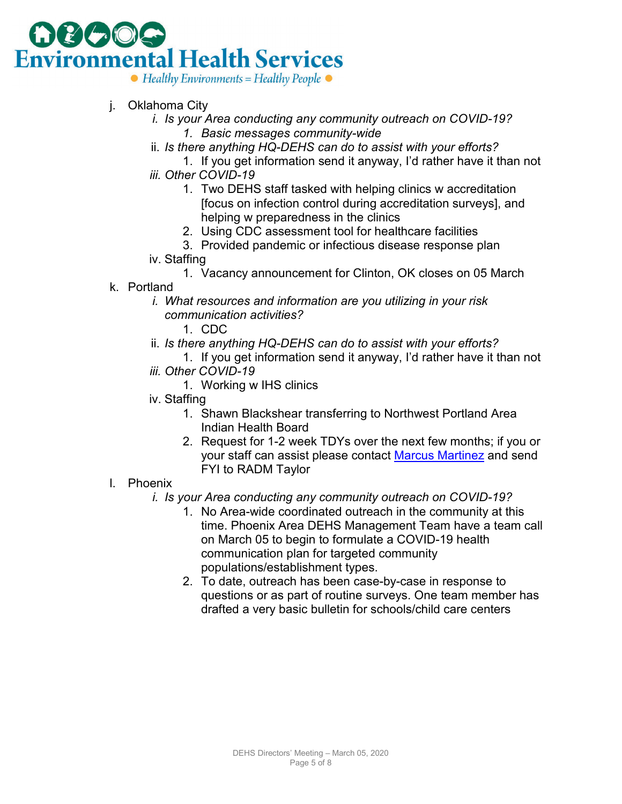# **Environmental Health Services**  $\bullet$  Healthy Environments = Healthy People  $\bullet$

- j. Oklahoma City
	- *i. Is your Area conducting any community outreach on COVID-19? 1. Basic messages community-wide*
	- ii. *Is there anything HQ-DEHS can do to assist with your efforts?*
	- 1. If you get information send it anyway, I'd rather have it than not *iii. Other COVID-19*
		- 1. Two DEHS staff tasked with helping clinics w accreditation [focus on infection control during accreditation surveys], and helping w preparedness in the clinics
		- 2. Using CDC assessment tool for healthcare facilities
		- 3. Provided pandemic or infectious disease response plan
	- iv. Staffing
		- 1. Vacancy announcement for Clinton, OK closes on 05 March
- k. Portland
	- *i. What resources and information are you utilizing in your risk communication activities?*
		- 1. CDC
	- ii. *Is there anything HQ-DEHS can do to assist with your efforts?*
		- 1. If you get information send it anyway, I'd rather have it than not
	- *iii. Other COVID-19*
		- 1. Working w IHS clinics
	- iv. Staffing
		- 1. Shawn Blackshear transferring to Northwest Portland Area Indian Health Board
		- 2. Request for 1-2 week TDYs over the next few months; if you or your staff can assist please contact [Marcus Martinez](mailto:marcus.martinez@ihs.gov) and send FYI to RADM Taylor
- l. Phoenix
	- *i. Is your Area conducting any community outreach on COVID-19?*
		- 1. No Area-wide coordinated outreach in the community at this time. Phoenix Area DEHS Management Team have a team call on March 05 to begin to formulate a COVID-19 health communication plan for targeted community populations/establishment types.
		- 2. To date, outreach has been case-by-case in response to questions or as part of routine surveys. One team member has drafted a very basic bulletin for schools/child care centers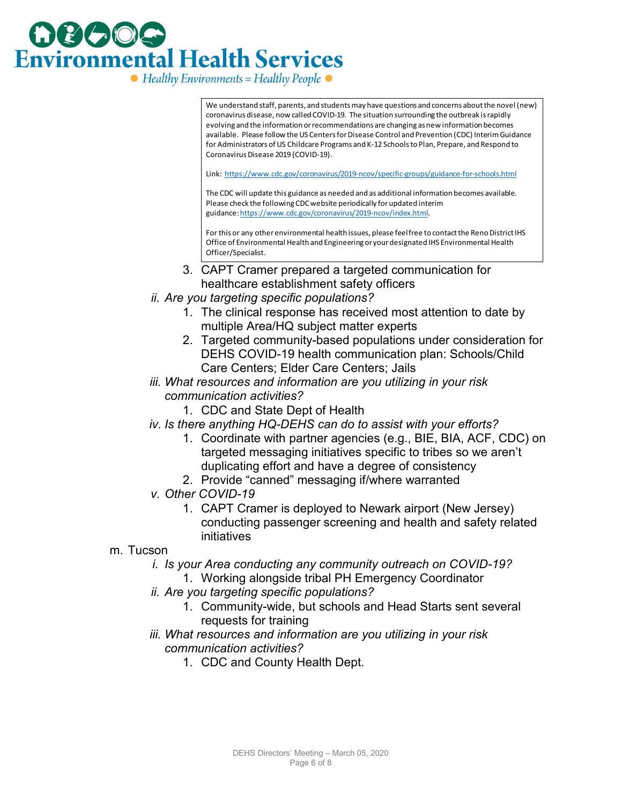

[We understand staff, parents, and students may have questions and concerns about the novel \(new\)](https://www.cdc.gov/coronavirus/2019-ncov/specific-groups/guidance-for-schools.html)  coronavirus disease, now called COVID-19. The situation surrounding the outbreak is rapidly evolving and the information or recommendations are changing as new information becomes available. Please follow the US Centers for Disease Control and Prevention (CDC) Interim Guidance for Administrators of US Childcare Programs and K-12 Schools to Plan, Prepare, and Respond to Coronavirus Disease 2019 (COVID-19).

Link: https://www.cdc.gov/coronavirus/2019-ncov/specific-groups/guidance-for-schools.html

The CDC will update this guidance as needed and as additional information becomes available. Please check the following CDC website periodically for updated interim guidance: https://www.cdc.gov/coronavirus/2019-ncov/index.html.

For this or any other environmental health issues, please feel free to contact the Reno District IHS Office of Environmental Health and Engineering or your designated IHS Environmental Health Officer/Specialist.

- 3. CAPT Cramer prepared a targeted communication for healthcare establishment safety officers
- *ii. Are you targeting specific populations?*
	- 1. The clinical response has received most attention to date by multiple Area/HQ subject matter experts
	- 2. Targeted community-based populations under consideration for DEHS COVID-19 health communication plan: Schools/Child Care Centers; Elder Care Centers; Jails
- *iii. What resources and information are you utilizing in your risk communication activities?*
	- 1. CDC and State Dept of Health
- *iv. Is there anything HQ-DEHS can do to assist with your efforts?*
	- 1. Coordinate with partner agencies (e.g., BIE, BIA, ACF, CDC) on targeted messaging initiatives specific to tribes so we aren't duplicating effort and have a degree of consistency
	- 2. Provide "canned" messaging if/where warranted
- *v. Other COVID-19*
	- 1. CAPT Cramer is deployed to Newark airport (New Jersey) conducting passenger screening and health and safety related initiatives
- m. Tucson
	- *i. Is your Area conducting any community outreach on COVID-19?*
		- 1. Working alongside tribal PH Emergency Coordinator
	- *ii. Are you targeting specific populations?*
		- 1. Community-wide, but schools and Head Starts sent several requests for training
	- *iii. What resources and information are you utilizing in your risk communication activities?*
		- 1. CDC and County Health Dept.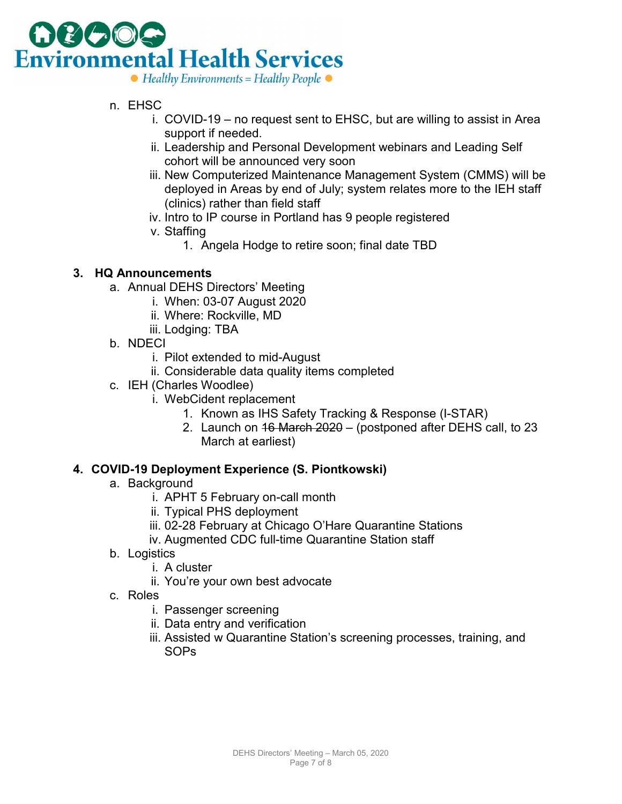

- n. EHSC
	- i. COVID-19 no request sent to EHSC, but are willing to assist in Area support if needed.
	- ii. Leadership and Personal Development webinars and Leading Self cohort will be announced very soon
	- iii. New Computerized Maintenance Management System (CMMS) will be deployed in Areas by end of July; system relates more to the IEH staff (clinics) rather than field staff
	- iv. Intro to IP course in Portland has 9 people registered
	- v. Staffing
		- 1. Angela Hodge to retire soon; final date TBD

#### **3. HQ Announcements**

- a. Annual DEHS Directors' Meeting
	- i. When: 03-07 August 2020
	- ii. Where: Rockville, MD
	- iii. Lodging: TBA
- b. NDECI
	- i. Pilot extended to mid-August
	- ii. Considerable data quality items completed
- c. IEH (Charles Woodlee)
	- i. WebCident replacement
		- 1. Known as IHS Safety Tracking & Response (I-STAR)
		- 2. Launch on 16 March 2020 (postponed after DEHS call, to 23 March at earliest)

#### **4. COVID-19 Deployment Experience (S. Piontkowski)**

- a. Background
	- i. APHT 5 February on-call month
	- ii. Typical PHS deployment
	- iii. 02-28 February at Chicago O'Hare Quarantine Stations
	- iv. Augmented CDC full-time Quarantine Station staff
- b. Logistics
	- i. A cluster
	- ii. You're your own best advocate
- c. Roles
	- i. Passenger screening
	- ii. Data entry and verification
	- iii. Assisted w Quarantine Station's screening processes, training, and SOPs